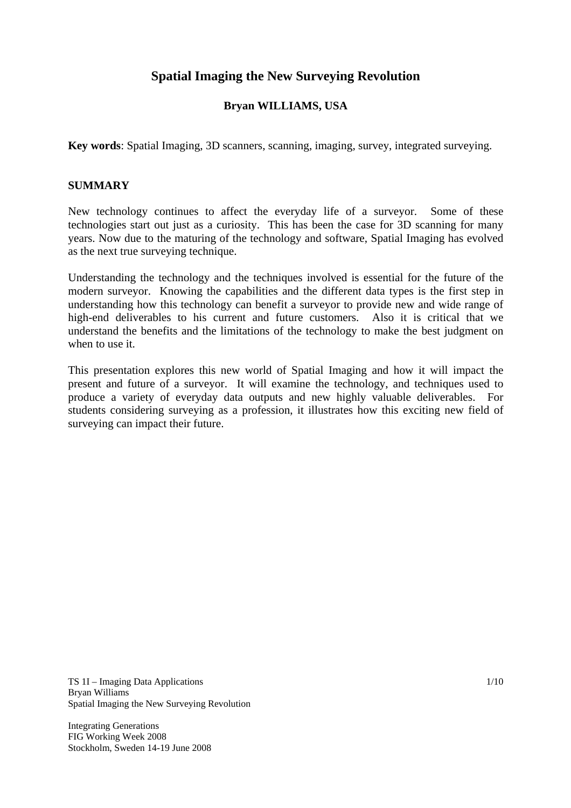# **Spatial Imaging the New Surveying Revolution**

## **Bryan WILLIAMS, USA**

**Key words**: Spatial Imaging, 3D scanners, scanning, imaging, survey, integrated surveying.

#### **SUMMARY**

New technology continues to affect the everyday life of a surveyor. Some of these technologies start out just as a curiosity. This has been the case for 3D scanning for many years. Now due to the maturing of the technology and software, Spatial Imaging has evolved as the next true surveying technique.

Understanding the technology and the techniques involved is essential for the future of the modern surveyor. Knowing the capabilities and the different data types is the first step in understanding how this technology can benefit a surveyor to provide new and wide range of high-end deliverables to his current and future customers. Also it is critical that we understand the benefits and the limitations of the technology to make the best judgment on when to use it.

This presentation explores this new world of Spatial Imaging and how it will impact the present and future of a surveyor. It will examine the technology, and techniques used to produce a variety of everyday data outputs and new highly valuable deliverables. For students considering surveying as a profession, it illustrates how this exciting new field of surveying can impact their future.

TS 1I – Imaging Data Applications Bryan Williams Spatial Imaging the New Surveying Revolution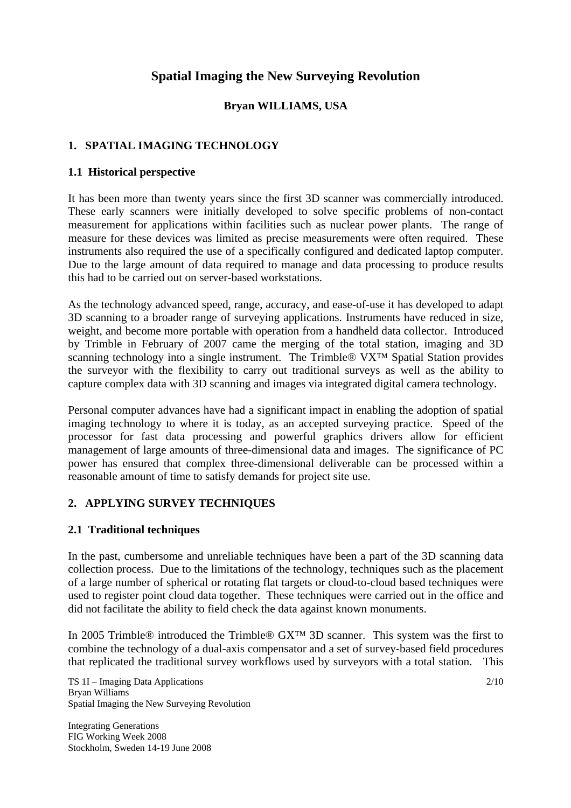# **Spatial Imaging the New Surveying Revolution**

## **Bryan WILLIAMS, USA**

## **1. SPATIAL IMAGING TECHNOLOGY**

#### **1.1 Historical perspective**

It has been more than twenty years since the first 3D scanner was commercially introduced. These early scanners were initially developed to solve specific problems of non-contact measurement for applications within facilities such as nuclear power plants. The range of measure for these devices was limited as precise measurements were often required. These instruments also required the use of a specifically configured and dedicated laptop computer. Due to the large amount of data required to manage and data processing to produce results this had to be carried out on server-based workstations.

As the technology advanced speed, range, accuracy, and ease-of-use it has developed to adapt 3D scanning to a broader range of surveying applications. Instruments have reduced in size, weight, and become more portable with operation from a handheld data collector. Introduced by Trimble in February of 2007 came the merging of the total station, imaging and 3D scanning technology into a single instrument. The Trimble® VX<sup>™</sup> Spatial Station provides the surveyor with the flexibility to carry out traditional surveys as well as the ability to capture complex data with 3D scanning and images via integrated digital camera technology.

Personal computer advances have had a significant impact in enabling the adoption of spatial imaging technology to where it is today, as an accepted surveying practice. Speed of the processor for fast data processing and powerful graphics drivers allow for efficient management of large amounts of three-dimensional data and images. The significance of PC power has ensured that complex three-dimensional deliverable can be processed within a reasonable amount of time to satisfy demands for project site use.

## **2. APPLYING SURVEY TECHNIQUES**

#### **2.1 Traditional techniques**

In the past, cumbersome and unreliable techniques have been a part of the 3D scanning data collection process. Due to the limitations of the technology, techniques such as the placement of a large number of spherical or rotating flat targets or cloud-to-cloud based techniques were used to register point cloud data together. These techniques were carried out in the office and did not facilitate the ability to field check the data against known monuments.

In 2005 Trimble® introduced the Trimble® GX™ 3D scanner. This system was the first to combine the technology of a dual-axis compensator and a set of survey-based field procedures that replicated the traditional survey workflows used by surveyors with a total station. This

TS 1I – Imaging Data Applications Bryan Williams Spatial Imaging the New Surveying Revolution

Integrating Generations FIG Working Week 2008 Stockholm, Sweden 14-19 June 2008 2/10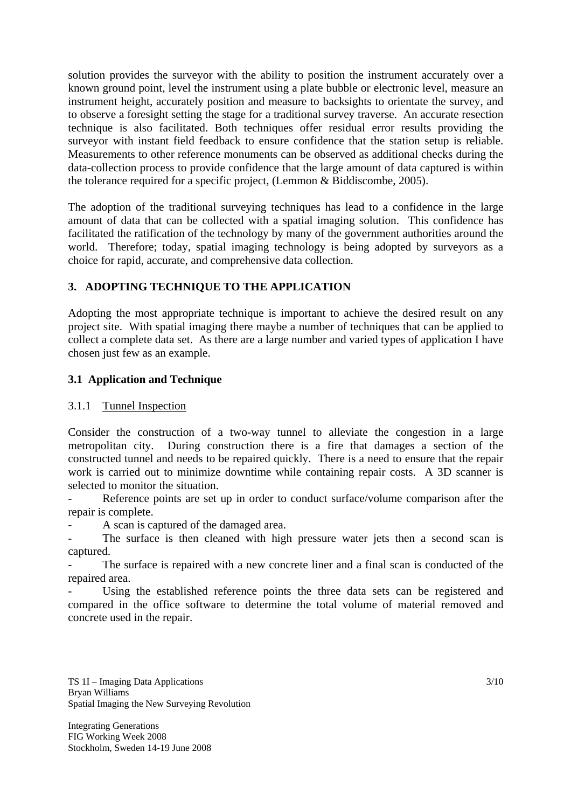solution provides the surveyor with the ability to position the instrument accurately over a known ground point, level the instrument using a plate bubble or electronic level, measure an instrument height, accurately position and measure to backsights to orientate the survey, and to observe a foresight setting the stage for a traditional survey traverse. An accurate resection technique is also facilitated. Both techniques offer residual error results providing the surveyor with instant field feedback to ensure confidence that the station setup is reliable. Measurements to other reference monuments can be observed as additional checks during the data-collection process to provide confidence that the large amount of data captured is within the tolerance required for a specific project, (Lemmon & Biddiscombe, 2005).

The adoption of the traditional surveying techniques has lead to a confidence in the large amount of data that can be collected with a spatial imaging solution. This confidence has facilitated the ratification of the technology by many of the government authorities around the world. Therefore; today, spatial imaging technology is being adopted by surveyors as a choice for rapid, accurate, and comprehensive data collection.

## **3. ADOPTING TECHNIQUE TO THE APPLICATION**

Adopting the most appropriate technique is important to achieve the desired result on any project site. With spatial imaging there maybe a number of techniques that can be applied to collect a complete data set. As there are a large number and varied types of application I have chosen just few as an example.

## **3.1 Application and Technique**

## 3.1.1 Tunnel Inspection

Consider the construction of a two-way tunnel to alleviate the congestion in a large metropolitan city. During construction there is a fire that damages a section of the constructed tunnel and needs to be repaired quickly. There is a need to ensure that the repair work is carried out to minimize downtime while containing repair costs. A 3D scanner is selected to monitor the situation.

Reference points are set up in order to conduct surface/volume comparison after the repair is complete.

A scan is captured of the damaged area.

The surface is then cleaned with high pressure water jets then a second scan is captured.

The surface is repaired with a new concrete liner and a final scan is conducted of the repaired area.

Using the established reference points the three data sets can be registered and compared in the office software to determine the total volume of material removed and concrete used in the repair.

TS 1I – Imaging Data Applications Bryan Williams Spatial Imaging the New Surveying Revolution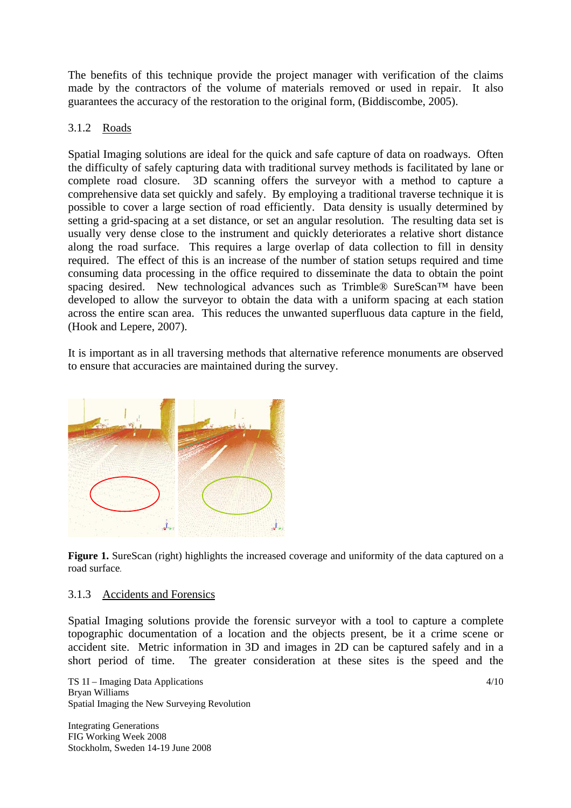The benefits of this technique provide the project manager with verification of the claims made by the contractors of the volume of materials removed or used in repair. It also guarantees the accuracy of the restoration to the original form, (Biddiscombe, 2005).

### 3.1.2 Roads

Spatial Imaging solutions are ideal for the quick and safe capture of data on roadways. Often the difficulty of safely capturing data with traditional survey methods is facilitated by lane or complete road closure. 3D scanning offers the surveyor with a method to capture a comprehensive data set quickly and safely. By employing a traditional traverse technique it is possible to cover a large section of road efficiently. Data density is usually determined by setting a grid-spacing at a set distance, or set an angular resolution. The resulting data set is usually very dense close to the instrument and quickly deteriorates a relative short distance along the road surface. This requires a large overlap of data collection to fill in density required. The effect of this is an increase of the number of station setups required and time consuming data processing in the office required to disseminate the data to obtain the point spacing desired. New technological advances such as Trimble® SureScan™ have been developed to allow the surveyor to obtain the data with a uniform spacing at each station across the entire scan area. This reduces the unwanted superfluous data capture in the field, (Hook and Lepere, 2007).

It is important as in all traversing methods that alternative reference monuments are observed to ensure that accuracies are maintained during the survey.



Figure 1. SureScan (right) highlights the increased coverage and uniformity of the data captured on a road surface*.*

#### 3.1.3 Accidents and Forensics

Spatial Imaging solutions provide the forensic surveyor with a tool to capture a complete topographic documentation of a location and the objects present, be it a crime scene or accident site. Metric information in 3D and images in 2D can be captured safely and in a short period of time. The greater consideration at these sites is the speed and the

TS 1I – Imaging Data Applications Bryan Williams Spatial Imaging the New Surveying Revolution

Integrating Generations FIG Working Week 2008 Stockholm, Sweden 14-19 June 2008 4/10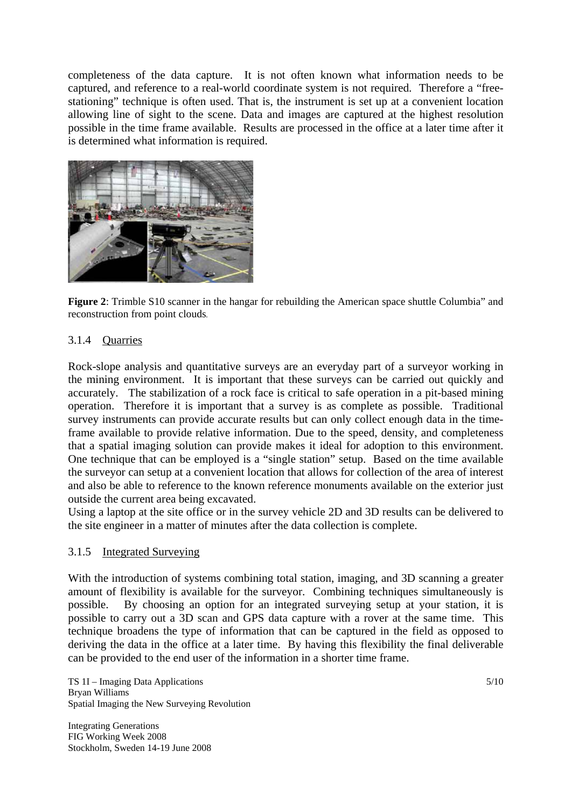completeness of the data capture. It is not often known what information needs to be captured, and reference to a real-world coordinate system is not required. Therefore a "freestationing" technique is often used. That is, the instrument is set up at a convenient location allowing line of sight to the scene. Data and images are captured at the highest resolution possible in the time frame available. Results are processed in the office at a later time after it is determined what information is required.



**Figure 2:** Trimble S10 scanner in the hangar for rebuilding the American space shuttle Columbia" and reconstruction from point clouds*.* 

## 3.1.4 Quarries

Rock-slope analysis and quantitative surveys are an everyday part of a surveyor working in the mining environment. It is important that these surveys can be carried out quickly and accurately. The stabilization of a rock face is critical to safe operation in a pit-based mining operation. Therefore it is important that a survey is as complete as possible. Traditional survey instruments can provide accurate results but can only collect enough data in the timeframe available to provide relative information. Due to the speed, density, and completeness that a spatial imaging solution can provide makes it ideal for adoption to this environment. One technique that can be employed is a "single station" setup. Based on the time available the surveyor can setup at a convenient location that allows for collection of the area of interest and also be able to reference to the known reference monuments available on the exterior just outside the current area being excavated.

Using a laptop at the site office or in the survey vehicle 2D and 3D results can be delivered to the site engineer in a matter of minutes after the data collection is complete.

#### 3.1.5 Integrated Surveying

With the introduction of systems combining total station, imaging, and 3D scanning a greater amount of flexibility is available for the surveyor. Combining techniques simultaneously is possible. By choosing an option for an integrated surveying setup at your station, it is possible to carry out a 3D scan and GPS data capture with a rover at the same time. This technique broadens the type of information that can be captured in the field as opposed to deriving the data in the office at a later time. By having this flexibility the final deliverable can be provided to the end user of the information in a shorter time frame.

TS 1I – Imaging Data Applications Bryan Williams Spatial Imaging the New Surveying Revolution

Integrating Generations FIG Working Week 2008 Stockholm, Sweden 14-19 June 2008 5/10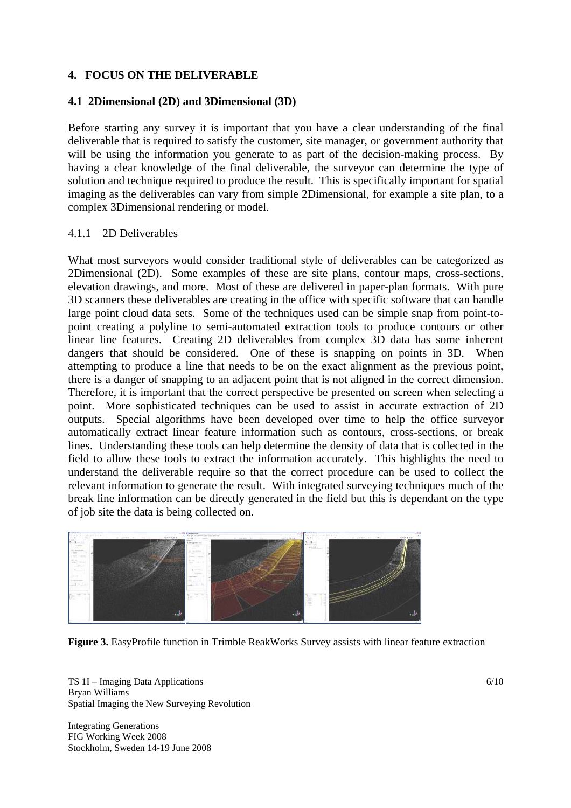### **4. FOCUS ON THE DELIVERABLE**

#### **4.1 2Dimensional (2D) and 3Dimensional (3D)**

Before starting any survey it is important that you have a clear understanding of the final deliverable that is required to satisfy the customer, site manager, or government authority that will be using the information you generate to as part of the decision-making process. By having a clear knowledge of the final deliverable, the surveyor can determine the type of solution and technique required to produce the result. This is specifically important for spatial imaging as the deliverables can vary from simple 2Dimensional, for example a site plan, to a complex 3Dimensional rendering or model.

#### 4.1.1 2D Deliverables

What most surveyors would consider traditional style of deliverables can be categorized as 2Dimensional (2D). Some examples of these are site plans, contour maps, cross-sections, elevation drawings, and more. Most of these are delivered in paper-plan formats. With pure 3D scanners these deliverables are creating in the office with specific software that can handle large point cloud data sets. Some of the techniques used can be simple snap from point-topoint creating a polyline to semi-automated extraction tools to produce contours or other linear line features. Creating 2D deliverables from complex 3D data has some inherent dangers that should be considered. One of these is snapping on points in 3D. When attempting to produce a line that needs to be on the exact alignment as the previous point, there is a danger of snapping to an adjacent point that is not aligned in the correct dimension. Therefore, it is important that the correct perspective be presented on screen when selecting a point. More sophisticated techniques can be used to assist in accurate extraction of 2D outputs. Special algorithms have been developed over time to help the office surveyor automatically extract linear feature information such as contours, cross-sections, or break lines. Understanding these tools can help determine the density of data that is collected in the field to allow these tools to extract the information accurately. This highlights the need to understand the deliverable require so that the correct procedure can be used to collect the relevant information to generate the result. With integrated surveying techniques much of the break line information can be directly generated in the field but this is dependant on the type of job site the data is being collected on.



**Figure 3.** EasyProfile function in Trimble ReakWorks Survey assists with linear feature extraction

TS 1I – Imaging Data Applications Bryan Williams Spatial Imaging the New Surveying Revolution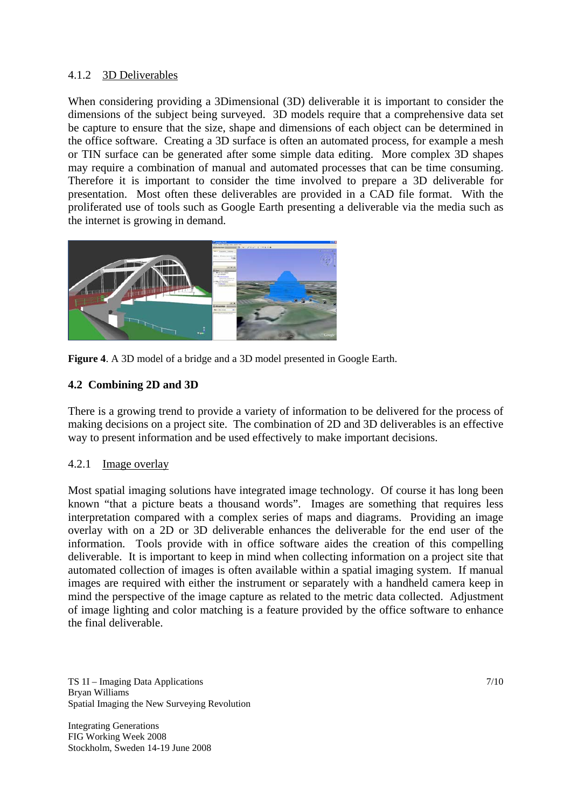## 4.1.2 3D Deliverables

When considering providing a 3Dimensional (3D) deliverable it is important to consider the dimensions of the subject being surveyed. 3D models require that a comprehensive data set be capture to ensure that the size, shape and dimensions of each object can be determined in the office software. Creating a 3D surface is often an automated process, for example a mesh or TIN surface can be generated after some simple data editing. More complex 3D shapes may require a combination of manual and automated processes that can be time consuming. Therefore it is important to consider the time involved to prepare a 3D deliverable for presentation. Most often these deliverables are provided in a CAD file format. With the proliferated use of tools such as Google Earth presenting a deliverable via the media such as the internet is growing in demand.





#### **4.2 Combining 2D and 3D**

There is a growing trend to provide a variety of information to be delivered for the process of making decisions on a project site. The combination of 2D and 3D deliverables is an effective way to present information and be used effectively to make important decisions.

#### 4.2.1 Image overlay

Most spatial imaging solutions have integrated image technology. Of course it has long been known "that a picture beats a thousand words". Images are something that requires less interpretation compared with a complex series of maps and diagrams. Providing an image overlay with on a 2D or 3D deliverable enhances the deliverable for the end user of the information. Tools provide with in office software aides the creation of this compelling deliverable. It is important to keep in mind when collecting information on a project site that automated collection of images is often available within a spatial imaging system. If manual images are required with either the instrument or separately with a handheld camera keep in mind the perspective of the image capture as related to the metric data collected. Adjustment of image lighting and color matching is a feature provided by the office software to enhance the final deliverable.

TS 1I – Imaging Data Applications Bryan Williams Spatial Imaging the New Surveying Revolution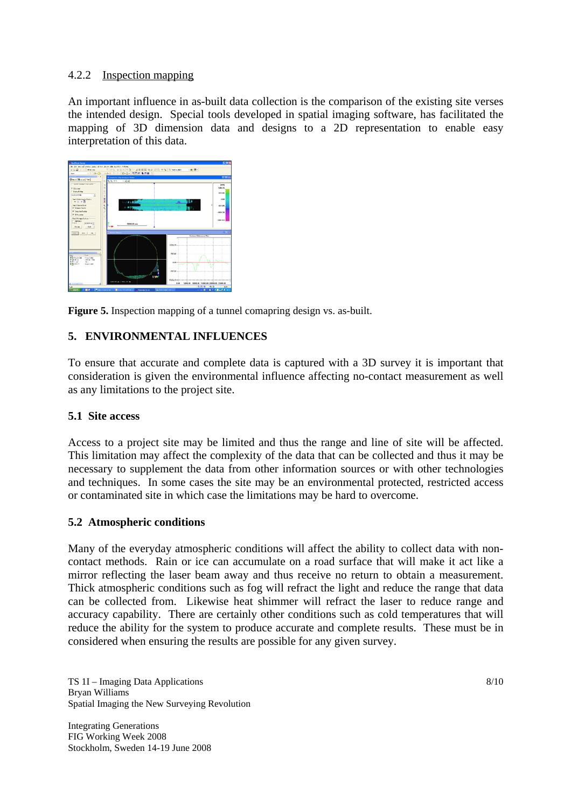## 4.2.2 Inspection mapping

An important influence in as-built data collection is the comparison of the existing site verses the intended design. Special tools developed in spatial imaging software, has facilitated the mapping of 3D dimension data and designs to a 2D representation to enable easy interpretation of this data.



**Figure 5.** Inspection mapping of a tunnel comapring design vs. as-built.

## **5. ENVIRONMENTAL INFLUENCES**

To ensure that accurate and complete data is captured with a 3D survey it is important that consideration is given the environmental influence affecting no-contact measurement as well as any limitations to the project site.

## **5.1 Site access**

Access to a project site may be limited and thus the range and line of site will be affected. This limitation may affect the complexity of the data that can be collected and thus it may be necessary to supplement the data from other information sources or with other technologies and techniques. In some cases the site may be an environmental protected, restricted access or contaminated site in which case the limitations may be hard to overcome.

## **5.2 Atmospheric conditions**

Many of the everyday atmospheric conditions will affect the ability to collect data with noncontact methods. Rain or ice can accumulate on a road surface that will make it act like a mirror reflecting the laser beam away and thus receive no return to obtain a measurement. Thick atmospheric conditions such as fog will refract the light and reduce the range that data can be collected from. Likewise heat shimmer will refract the laser to reduce range and accuracy capability. There are certainly other conditions such as cold temperatures that will reduce the ability for the system to produce accurate and complete results. These must be in considered when ensuring the results are possible for any given survey.

TS 1I – Imaging Data Applications Bryan Williams Spatial Imaging the New Surveying Revolution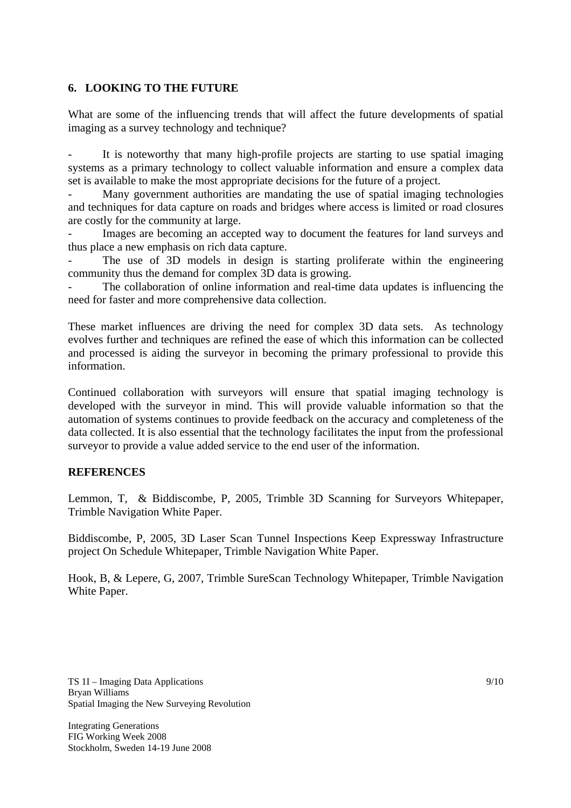#### **6. LOOKING TO THE FUTURE**

What are some of the influencing trends that will affect the future developments of spatial imaging as a survey technology and technique?

It is noteworthy that many high-profile projects are starting to use spatial imaging systems as a primary technology to collect valuable information and ensure a complex data set is available to make the most appropriate decisions for the future of a project.

Many government authorities are mandating the use of spatial imaging technologies and techniques for data capture on roads and bridges where access is limited or road closures are costly for the community at large.

Images are becoming an accepted way to document the features for land surveys and thus place a new emphasis on rich data capture.

The use of 3D models in design is starting proliferate within the engineering community thus the demand for complex 3D data is growing.

The collaboration of online information and real-time data updates is influencing the need for faster and more comprehensive data collection.

These market influences are driving the need for complex 3D data sets. As technology evolves further and techniques are refined the ease of which this information can be collected and processed is aiding the surveyor in becoming the primary professional to provide this information.

Continued collaboration with surveyors will ensure that spatial imaging technology is developed with the surveyor in mind. This will provide valuable information so that the automation of systems continues to provide feedback on the accuracy and completeness of the data collected. It is also essential that the technology facilitates the input from the professional surveyor to provide a value added service to the end user of the information.

## **REFERENCES**

Lemmon, T, & Biddiscombe, P, 2005, Trimble 3D Scanning for Surveyors Whitepaper, Trimble Navigation White Paper.

Biddiscombe, P, 2005, 3D Laser Scan Tunnel Inspections Keep Expressway Infrastructure project On Schedule Whitepaper, Trimble Navigation White Paper.

Hook, B, & Lepere, G, 2007, Trimble SureScan Technology Whitepaper, Trimble Navigation White Paper.

TS 1I – Imaging Data Applications Bryan Williams Spatial Imaging the New Surveying Revolution